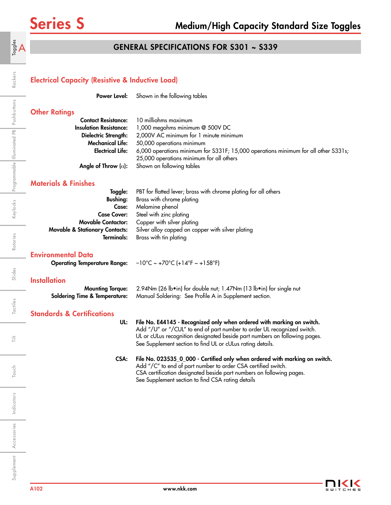$\mathsf{A}^{\mathsf{e}_\mathsf{sgd}}_\mathsf{d}$ 

Rockers

Keylocks Programmable Illuminated PB Pushbuttons

Rotaries

# GENERAL SPECIFICATIONS FOR S301 ~ S339

## Electrical Capacity (Resistive & Inductive Load)

**Power Level:** Shown in the following tables

# **Other Ratings**

|                               | <b>Contact Resistance:</b> 10 milliohms maximum                                    |
|-------------------------------|------------------------------------------------------------------------------------|
| <b>Insulation Resistance:</b> | 1,000 megohms minimum @ 500V DC                                                    |
| Dielectric Strength:          | 2,000V AC minimum for 1 minute minimum                                             |
| <b>Mechanical Life:</b>       | 50,000 operations minimum                                                          |
| <b>Electrical Life:</b>       | 6,000 operations minimum for S331F; 15,000 operations minimum for all other S331s; |
|                               | 25,000 operations minimum for all others                                           |
|                               | <b>Angle of Throw</b> ( $\alpha$ ): Shown on following tables                      |

## Materials & Finishes

| Toggle:                                   | PBT for flatted lever; brass with chrome plating for all others |
|-------------------------------------------|-----------------------------------------------------------------|
| <b>Bushing:</b>                           | Brass with chrome plating                                       |
| Case:                                     | Melamine phenol                                                 |
|                                           | <b>Case Cover:</b> Steel with zinc plating                      |
| <b>Movable Contactor:</b>                 | Copper with silver plating                                      |
| <b>Movable &amp; Stationary Contacts:</b> | Silver alloy capped on copper with silver plating               |
| Terminals:                                | Brass with tin plating                                          |
|                                           |                                                                 |

### Environmental Data

| <b>Operating Temperature Range:</b> | $-10^{\circ}$ C ~ +70 $^{\circ}$ C (+14 $^{\circ}$ F ~ +158 $^{\circ}$ F) |
|-------------------------------------|---------------------------------------------------------------------------|
|-------------------------------------|---------------------------------------------------------------------------|

### **Installation**

| Mounting Torque: 2.94Nm (26 lb•in) for double nut; 1.47Nm (13 lb•in) for single nut             |
|-------------------------------------------------------------------------------------------------|
| <b>Soldering Time &amp; Temperature:</b> Manual Soldering: See Profile A in Supplement section. |

# Standards & Certifications

### UL: File No. E44145 - Recognized only when ordered with marking on switch. Add "/U" or "/CUL" to end of part number to order UL recognized switch. UL or cULus recognition designated beside part numbers on following pages. See Supplement section to find UL or cULus rating details.

### CSA: File No. 023535\_0\_000 - Certified only when ordered with marking on switch. Add "/C" to end of part number to order CSA certified switch. CSA certification designated beside part numbers on following pages. See Supplement section to find CSA rating details

Touch

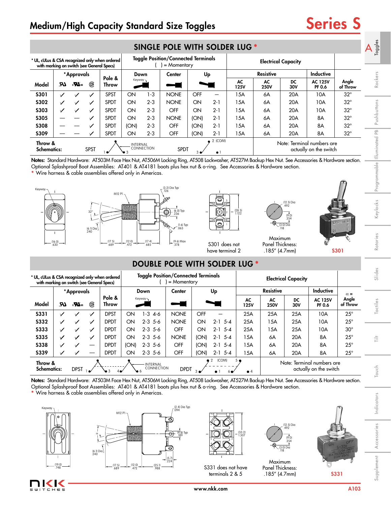# Medium/High Capacity Standard Size Toggles Series S

|                                            | <b>SINGLE POLE WITH SOLDER LUG *</b> |                                       |              |                                                |          |            |                                                           |             |                        |                   |                   |                            |                                                      |                   | $rac{e}{g}$<br>$\overline{ }\$<br>$\bar{\sigma}$<br>ڡ |
|--------------------------------------------|--------------------------------------|---------------------------------------|--------------|------------------------------------------------|----------|------------|-----------------------------------------------------------|-------------|------------------------|-------------------|-------------------|----------------------------|------------------------------------------------------|-------------------|-------------------------------------------------------|
| with marking on switch (see General Specs) |                                      |                                       |              | * UL, cULus & CSA recognized only when ordered |          |            | <b>Toggle Position/Connected Terminals</b><br>= Momentary |             |                        |                   |                   | <b>Electrical Capacity</b> |                                                      |                   |                                                       |
|                                            |                                      | *Approvals                            |              |                                                | Down     |            | Center                                                    |             | Up                     |                   | <b>Resistive</b>  |                            | <b>Inductive</b>                                     |                   |                                                       |
| Model                                      | LR.                                  | $\epsilon$ $\mathbf{W}$ <sub>us</sub> | (SP)         | Pole &<br>Throw                                | Keyway-  |            |                                                           |             |                        | AC<br><b>125V</b> | AC<br><b>250V</b> | DC<br>30V                  | <b>AC 125V</b><br>PF 0.6                             | Angle<br>of Throw | Rockers                                               |
| <b>S301</b>                                | ✓                                    | $\checkmark$                          | $\checkmark$ | <b>SPST</b>                                    | ON       | 1-3        | <b>NONE</b>                                               | <b>OFF</b>  | -                      | 15A               | 6A                | 20A                        | 10A                                                  | $32^\circ$        |                                                       |
| <b>S302</b>                                | ✓                                    | $\checkmark$                          | ✓            | <b>SPDT</b>                                    | ON       | $2 - 3$    | <b>NONE</b>                                               | ON          | $2 - 1$                | 15A               | 6A                | 20A                        | 10A                                                  | $32^{\circ}$      |                                                       |
| <b>S303</b>                                | ✓                                    | ✓                                     | ✓            | <b>SPDT</b>                                    | ON       | $2 - 3$    | OFF                                                       | ON          | $2 - 1$                | 15A               | 6A                | 20A                        | 10A                                                  | $32^{\circ}$      |                                                       |
| <b>S305</b>                                |                                      |                                       |              | <b>SPDT</b>                                    | ON       | $2 - 3$    | <b>NONE</b>                                               | (ON)        | $2 - 1$                | 15A               | 6A                | 20A                        | 8A                                                   | $32^{\circ}$      | ushbuttons                                            |
| <b>S308</b>                                |                                      |                                       |              | <b>SPDT</b>                                    | (ON)     | $2 - 3$    | <b>OFF</b>                                                | (ON)        | $2 - 1$                | 15A               | 6A                | 20A                        | 8A                                                   | $32^{\circ}$      | $\triangle$                                           |
| <b>S309</b>                                |                                      |                                       |              | <b>SPDT</b>                                    | ON       | $2 - 3$    | OFF                                                       | (ON)        | $2 - 1$                | 15A               | 6A                | 20A                        | 8A                                                   | $32^{\circ}$      | 운                                                     |
| Throw &<br><b>Schematics:</b>              |                                      |                                       | <b>SPST</b>  | $\bullet$                                      | INTERNAL | CONNECTION | <b>SPDT</b>                                               | $3 \bullet$ | 2 (COM)<br>$\bullet$ 1 |                   |                   |                            | Note: Terminal numbers are<br>actually on the switch |                   | minated                                               |

### Notes: Standard Hardware: AT503M Face Hex Nut, AT506M Locking Ring, AT508 Lockwasher, AT527M Backup Hex Nut. See Accessories & Hardware section. Optional Splashproof Boot Assemblies: AT401 & AT4181 boots plus hex nut & o-ring. See Accessories & Hardware section.



# DOUBLE POLE WITH SOLDER LUG **\***

| <b>S302</b>                                                                                  |                  |                          | ✓                           | <b>SPDT</b>     | ON                   | $2 - 3$                                                     | <b>NONE</b>                                                     | ON          | $2 - 1$                          | 15A                                           | 6A                                                                                                                    | 20A                                                               | 10A                                                                                                                                                                                                      | $32^{\circ}$      |                           |
|----------------------------------------------------------------------------------------------|------------------|--------------------------|-----------------------------|-----------------|----------------------|-------------------------------------------------------------|-----------------------------------------------------------------|-------------|----------------------------------|-----------------------------------------------|-----------------------------------------------------------------------------------------------------------------------|-------------------------------------------------------------------|----------------------------------------------------------------------------------------------------------------------------------------------------------------------------------------------------------|-------------------|---------------------------|
| <b>S303</b>                                                                                  |                  |                          | ✓                           | <b>SPDT</b>     | ON                   | $2 - 3$                                                     | OFF                                                             | ON          | $2 - 1$                          | 15A                                           | 6A                                                                                                                    | 20A                                                               | 10A                                                                                                                                                                                                      | $32^{\circ}$      |                           |
| <b>S305</b>                                                                                  |                  |                          |                             | <b>SPDT</b>     | ON                   | $2 - 3$                                                     | <b>NONE</b>                                                     | (ON)        | $2 - 1$                          | 15A                                           | 6A                                                                                                                    | 20A                                                               | 8A                                                                                                                                                                                                       | $32^{\circ}$      | Pushbutton                |
| <b>S308</b>                                                                                  |                  |                          |                             | <b>SPDT</b>     | (ON)                 | $2 - 3$                                                     | OFF                                                             | (ON)        | $2 - 1$                          | 15A                                           | 6A                                                                                                                    | 20A                                                               | 8A                                                                                                                                                                                                       | $32^{\circ}$      |                           |
| <b>S309</b>                                                                                  |                  |                          |                             | <b>SPDT</b>     | ON                   | $2 - 3$                                                     | OFF                                                             | (ON)        | $2 - 1$                          | 15A                                           | 6A                                                                                                                    | 20A                                                               | 8A                                                                                                                                                                                                       | $32^{\circ}$      | $\mathbb{E}$              |
| Throw &<br><b>Schematics:</b>                                                                |                  |                          | <b>SPST</b>                 |                 | INTERNAL             | CONNECTION                                                  | <b>SPDT</b>                                                     |             | 2 (COM)<br>$\bullet$ 1           |                                               |                                                                                                                       |                                                                   | Note: Terminal numbers are<br>actually on the switch                                                                                                                                                     |                   | Illuminated               |
|                                                                                              |                  |                          |                             |                 |                      | * Wire harness & cable assemblies offered only in Americas. |                                                                 |             |                                  |                                               | Optional Splashproof Boot Assemblies: AT401 & AT4181 boots plus hex nut & o-ring. See Accessories & Hardware section. |                                                                   | Notes: Standard Hardware: AT503M Face Hex Nut, AT506M Locking Ring, AT508 Lockwasher, AT527M Backup Hex Nut. See Accessories & Hardware section.                                                         |                   | Programm                  |
| Keyway-                                                                                      |                  |                          | $32^{\circ}$<br>$(6.1)$ Dia | M12 P1          |                      |                                                             | (3.2) Dia Typ<br>(6.0) Typ<br>$(1.6)$ Typ<br>.063               |             | 0<br>◓                           | $(28.5)$<br>1.122                             |                                                                                                                       | $(12.5)$ Dia<br>492<br>(9.0)<br>354<br>$(3.0)$ Dia                |                                                                                                                                                                                                          |                   | Keylocks                  |
|                                                                                              | $(16.0)$<br>.630 |                          |                             | (17.5)<br>689   | $\frac{(12.0)}{472}$ | $(17.4)$<br>.685                                            | (9.6) Max<br>.378                                               |             | S301 does not<br>have terminal 2 |                                               | Maximum<br>Panel Thickness:<br>$.185''$ (4.7mm)                                                                       |                                                                   |                                                                                                                                                                                                          | <b>S301</b>       | Rotaries                  |
|                                                                                              |                  |                          |                             |                 |                      |                                                             | <b>DOUBLE POLE WITH SOLDER LUG *</b>                            |             |                                  |                                               |                                                                                                                       |                                                                   |                                                                                                                                                                                                          |                   | Slides                    |
| * UL, cULus & CSA recognized only when ordered<br>with marking on switch (see General Specs) |                  |                          |                             |                 |                      |                                                             | <b>Toggle Position/Connected Terminals</b><br>$( ) =$ Momentary |             |                                  |                                               |                                                                                                                       | <b>Electrical Capacity</b>                                        |                                                                                                                                                                                                          |                   |                           |
|                                                                                              |                  | *Approvals               |                             |                 |                      | Down                                                        | Center                                                          |             | Up                               |                                               | <b>Resistive</b>                                                                                                      |                                                                   | Inductive                                                                                                                                                                                                | $\alpha =$        |                           |
| Model                                                                                        | UR.              | $_{c}$ $\mathbf{W}_{us}$ | ®                           | Pole &<br>Throw |                      | Keyway                                                      |                                                                 |             |                                  | AC<br>125V                                    | AC<br><b>250V</b>                                                                                                     | DC<br>30V                                                         | <b>AC 125V</b><br>PF 0.6                                                                                                                                                                                 | Angle<br>of Throw | Tactiles                  |
| <b>S331</b>                                                                                  | ✓                | ✓                        | ✓                           | <b>DPST</b>     | ON                   | $1 - 3$ 4-6                                                 | <b>NONE</b>                                                     | OFF         |                                  | 25A                                           | 25A                                                                                                                   | 25A                                                               | 10A                                                                                                                                                                                                      | $25^{\circ}$      |                           |
| <b>S332</b>                                                                                  | ✓                | ✓                        | ✓                           | <b>DPDT</b>     | ON                   | $2-3$ 5-6                                                   | <b>NONE</b>                                                     | ON          | $2-1$ 5-4                        | 25A                                           | 15A                                                                                                                   | 25A                                                               | 10A                                                                                                                                                                                                      | $25^{\circ}$      |                           |
| <b>S333</b>                                                                                  |                  | ✓                        | ✓                           | <b>DPDT</b>     | ON                   | $2-3$ 5-6                                                   | OFF                                                             | ON          | $2-1$ 5-4                        | 25A                                           | 15A                                                                                                                   | 25A                                                               | 10A                                                                                                                                                                                                      | $30^\circ$        |                           |
| <b>S335</b>                                                                                  |                  | ✓                        | ✓                           | <b>DPDT</b>     | ON                   | $2 - 3$ 5-6                                                 | <b>NONE</b>                                                     | (ON)        | $2-1$ 5-4                        | 15A                                           | 6A                                                                                                                    | 20A                                                               | 8A                                                                                                                                                                                                       | $25^{\circ}$      | Ē                         |
|                                                                                              |                  |                          |                             |                 |                      |                                                             |                                                                 |             |                                  |                                               |                                                                                                                       | 20A                                                               | 8A                                                                                                                                                                                                       | $25^{\circ}$      |                           |
| <b>S338</b>                                                                                  |                  | ✓                        |                             | <b>DPDT</b>     | (ON)                 | $2-3$ 5-6                                                   | <b>OFF</b>                                                      | (ON)        | $2 - 1$ 5-4                      | 15A                                           | 6A                                                                                                                    |                                                                   |                                                                                                                                                                                                          |                   |                           |
| <b>S339</b>                                                                                  |                  |                          |                             | <b>DPDT</b>     | ON                   | $2-3$ 5-6                                                   | <b>OFF</b>                                                      | (ON)        | $2-1$ 5-4                        | 15A                                           | 6A                                                                                                                    | 20A                                                               | 8A                                                                                                                                                                                                       | $25^{\circ}$      |                           |
| Throw &<br><b>Schematics:</b>                                                                |                  | <b>DPST</b>              |                             |                 |                      | INTERNAL<br>CONNECTION                                      | <b>DPDT</b>                                                     | $3 \bullet$ | ICOMI                            | $\bullet$ 4                                   |                                                                                                                       |                                                                   | Note: Terminal numbers are<br>actually on the switch<br>Notes: Standard Hardware: AT503M Face Hex Nut, AT506M Locking Ring, AT508 Lockwasher, AT527M Backup Hex Nut. See Accessories & Hardware section. |                   | Touch                     |
| Keyway -                                                                                     |                  |                          |                             | M12 P1-         |                      | * Wire harness & cable assemblies offered only in Americas. | (2.4) Dia Typ<br>.094                                           |             |                                  |                                               | Optional Splashproof Boot Assemblies: AT401 & AT4181 boots plus hex nut & o-ring. See Accessories & Hardware section. |                                                                   |                                                                                                                                                                                                          |                   | Indicators                |
|                                                                                              |                  |                          | $(6.1)$ Dia                 |                 |                      |                                                             | $\bullet$<br>$(4.8)$ Typ<br>$.189$<br>⊖                         |             |                                  | $\begin{bmatrix} 33.2 \\ 1.307 \end{bmatrix}$ |                                                                                                                       | $(12.5)$ Dia<br>492<br>$\frac{(9.0)}{354}$<br>$(3.0)$ Dia<br>.118 |                                                                                                                                                                                                          |                   | Accessories<br>Supplement |



11<1< —<br>ТСНЕ 5









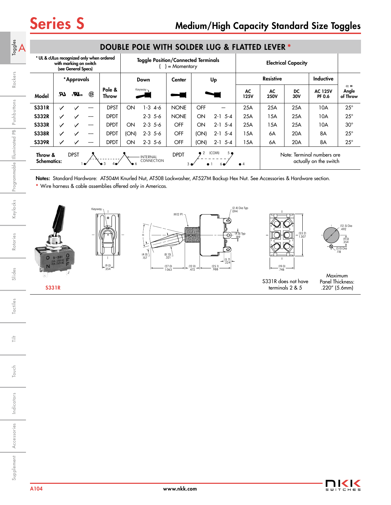Rockers

Keylocks Programmable Illuminated PB Pushbuttons

Rotaries

Slides

Tactiles

 $\frac{+}{\leftarrow}$ 

| * UL & cULus recognized only when ordered                                                                                                                                                 |              | with marking on switch<br>(see General Specs) |      |                 | <b>Toggle Position/Connected Terminals</b><br>$=$ Momentary |             |             |                  |           |                   | <b>Electrical Capacity</b> |           |                          |                                 |
|-------------------------------------------------------------------------------------------------------------------------------------------------------------------------------------------|--------------|-----------------------------------------------|------|-----------------|-------------------------------------------------------------|-------------|-------------|------------------|-----------|-------------------|----------------------------|-----------|--------------------------|---------------------------------|
| *Approvals                                                                                                                                                                                |              |                                               | Down |                 | Center                                                      | Up          |             | <b>Resistive</b> |           |                   | <b>Inductive</b>           |           |                          |                                 |
| Model                                                                                                                                                                                     | LR.          | $\epsilon$ $\bm{W}_3$                         | ®    | Pole &<br>Throw |                                                             | Keyway-     |             |                  |           | AC<br><b>125V</b> | AC<br><b>250V</b>          | DC<br>30V | <b>AC 125V</b><br>PF 0.6 | $\alpha =$<br>Angle<br>of Throw |
| <b>S331R</b>                                                                                                                                                                              | ✓            |                                               |      | <b>DPST</b>     | ON                                                          | $1 - 3$ 4-6 | <b>NONE</b> | OFF              |           | 25A               | 25A                        | 25A       | 10A                      | $25^{\circ}$                    |
| <b>S332R</b>                                                                                                                                                                              | ✓            | ✓                                             |      | <b>DPDT</b>     |                                                             | $2 - 3$ 5-6 | <b>NONE</b> | ON               | $2-1$ 5-4 | 25A               | 15A                        | 25A       | 10A                      | $25^{\circ}$                    |
| <b>S333R</b>                                                                                                                                                                              | $\checkmark$ | $\checkmark$                                  |      | <b>DPDT</b>     | ON                                                          | $2 - 3$ 5-6 | <b>OFF</b>  | ON               | $2-1$ 5-4 | 25A               | 15A                        | 25A       | 10A                      | $30^\circ$                      |
| <b>S338R</b>                                                                                                                                                                              | ✓            | $\checkmark$                                  |      | <b>DPDT</b>     | (ON)                                                        | $2 - 3$ 5-6 | <b>OFF</b>  | (ON)             | $2-1$ 5-4 | 15A               | 6A                         | 20A       | 8A                       | $25^{\circ}$                    |
| <b>S339R</b>                                                                                                                                                                              | ✓            |                                               |      | <b>DPDT</b>     | ON                                                          | $2 - 3$ 5-6 | OFF         | (ON)             | $2-1$ 5-4 | 15A               | 6A                         | 20A       | 8A                       | $25^{\circ}$                    |
| (COM)<br>5 ●<br><b>DPDT</b><br><b>DPST</b><br>Note: Terminal numbers are<br>Throw &<br><b>INTERNAL</b><br>CONNECTION<br>actually on the switch<br><b>Schematics:</b><br>$\bullet$ 4<br>30 |              |                                               |      |                 |                                                             |             |             |                  |           |                   |                            |           |                          |                                 |

# DOUBLE POLE WITH SOLDER LUG & FLATTED LEVER **\***

Notes: Standard Hardware: AT504M Knurled Nut, AT508 Lockwasher, AT527M Backup Hex Nut. See Accessories & Hardware section.

**\*** Wire harness & cable assemblies offered only in Americas.





Touch

Accessories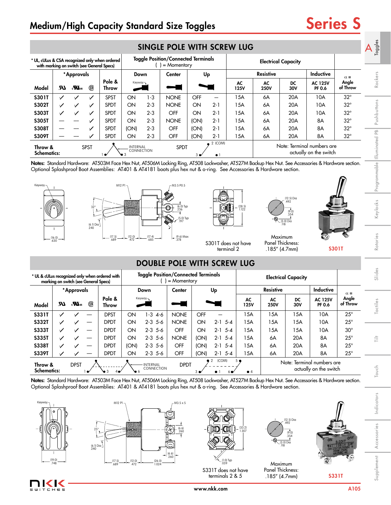# Medium/High Capacity Standard Size Toggles Series S

|                                                                                              | SINGLE POLE WITH SCREW LUG |                           |              |                        |                                    |         |                                                                                                                 |            |         |            |                   |                            |                          |                   | Toggles     |
|----------------------------------------------------------------------------------------------|----------------------------|---------------------------|--------------|------------------------|------------------------------------|---------|-----------------------------------------------------------------------------------------------------------------|------------|---------|------------|-------------------|----------------------------|--------------------------|-------------------|-------------|
| * UL, cULus & CSA recognized only when ordered<br>with marking on switch (see General Specs) |                            |                           |              |                        |                                    |         | <b>Toggle Position/Connected Terminals</b><br>$=$ Momentary                                                     |            |         |            |                   | <b>Electrical Capacity</b> |                          |                   |             |
|                                                                                              |                            | *Approvals                |              |                        | Down                               |         | Center                                                                                                          | Up         |         |            | <b>Resistive</b>  |                            | <b>Inductive</b>         | $\alpha =$        |             |
| Model                                                                                        | UR.                        | $\mathbf{u}^{\text{max}}$ | ®            | Pole &<br><b>Throw</b> | Keyway<br>$\overline{\phantom{a}}$ |         |                                                                                                                 |            |         | AC<br>125V | AC<br><b>250V</b> | DC<br>30V                  | <b>AC 125V</b><br>PF 0.6 | Angle<br>of Throw | Rockers     |
| <b>S301T</b>                                                                                 | ✓                          |                           |              | <b>SPST</b>            | ON                                 | $1 - 3$ | <b>NONE</b>                                                                                                     | <b>OFF</b> | —       | 15A        | 6A                | 20A                        | 10A                      | $32^\circ$        |             |
| <b>S302T</b>                                                                                 | ✓                          | ✓                         |              | <b>SPDT</b>            | ON                                 | $2 - 3$ | <b>NONE</b>                                                                                                     | ON         | $2 - 1$ | 15A        | 6A                | 20A                        | 10A                      | $32^\circ$        | Pushbuttons |
| <b>S303T</b>                                                                                 | ✓                          | $\checkmark$              |              | <b>SPDT</b>            | ON                                 | $2 - 3$ | <b>OFF</b>                                                                                                      | ON         | $2 - 1$ | 15A        | 6A                | 20A                        | 10A                      | $32^{\circ}$      |             |
| <b>S305T</b>                                                                                 |                            |                           |              | <b>SPDT</b>            | ON                                 | $2 - 3$ | <b>NONE</b>                                                                                                     | (ON)       | $2 - 1$ | 15A        | 6A                | 20A                        | 8A                       | $32^{\circ}$      |             |
| <b>S308T</b>                                                                                 |                            |                           |              | <b>SPDT</b>            | (ON)                               | $2 - 3$ | <b>OFF</b>                                                                                                      | (ON)       | $2 - 1$ | 15A        | 6A                | 20A                        | 8A                       | $32^{\circ}$      | 운           |
| <b>S309T</b>                                                                                 |                            |                           | $\checkmark$ | <b>SPDT</b>            | ON                                 | $2 - 3$ | OFF                                                                                                             | (ON)       | $2 - 1$ | 15A        | 6A                | 20A                        | 8A                       | $32^{\circ}$      |             |
| Throw &<br><b>Schematics:</b>                                                                |                            |                           | <b>SPST</b>  |                        | <b>INTERNAL</b><br>CONNECTION      |         | 2 (COM)<br>Note: Terminal numbers are<br><b>SPDT</b><br>actually on the switch<br>3 <sub>0</sub><br>$\bullet$ 1 |            |         |            |                   |                            | luminated                |                   |             |

Notes: Standard Hardware: AT503M Face Hex Nut, AT506M Locking Ring, AT508 Lockwasher, AT527M Backup Hex Nut. See Accessories & Hardware section. Optional Splashproof Boot Assemblies: AT401 & AT4181 boots plus hex nut & o-ring. See Accessories & Hardware section.

M3.5 P0.5

# DOUBLE POLE WITH SCREW LUG

|                               |     | marking on switch (see General Specs) |           | * UL & cULus recognized only when ordered with |      | <b>Toggle Position/Connected Terminals</b> | $=$ Momentary |                |                            |                               |                   |           |                                                      |                   |
|-------------------------------|-----|---------------------------------------|-----------|------------------------------------------------|------|--------------------------------------------|---------------|----------------|----------------------------|-------------------------------|-------------------|-----------|------------------------------------------------------|-------------------|
|                               |     | *Approvals                            |           |                                                |      | Down                                       | Center        |                | Up                         |                               | <b>Resistive</b>  |           | <b>Inductive</b>                                     | $\alpha =$        |
| Model                         | UR. | $\boldsymbol{\mathcal{H}}$ us         | ®         | Pole &<br>Throw                                |      | Keyway                                     |               |                |                            | AC<br>125V                    | AC<br><b>250V</b> | DC<br>30V | <b>AC 125V</b><br>PF 0.6                             | Angle<br>of Throw |
| <b>S331T</b>                  | ✓   |                                       |           | <b>DPST</b>                                    | ON   | 1-3<br>4-6                                 | <b>NONE</b>   | OFF            |                            | 15A                           | 15A               | 15A       | 10A                                                  | $25^{\circ}$      |
| <b>S332T</b>                  | ✓   | ✓                                     |           | <b>DPDT</b>                                    | ON   | $2 - 3$ 5-6                                | <b>NONE</b>   | ON             | $2 - 1$ 5-4                | 15A                           | 15A               | 15A       | 10A                                                  | $25^{\circ}$      |
| <b>S333T</b>                  | ✓   | ✓                                     |           | <b>DPDT</b>                                    | ON   | $2 - 3$ 5-6                                | OFF           | ON             | $2-1$ 5-4                  | 15A                           | 15A               | 15A       | 10A                                                  | $30^\circ$        |
| <b>S335T</b>                  | ✓   | ✓                                     |           | <b>DPDT</b>                                    | ON   | $2 - 3$ 5-6                                | <b>NONE</b>   | (ON)           | $2 - 1$<br>$5 - 4$         | 15A                           | 6A                | 20A       | 8A                                                   | $25^{\circ}$      |
| <b>S338T</b>                  | ✓   | ✓                                     |           | <b>DPDT</b>                                    | (ON) | $2 - 3$ 5-6                                | OFF           | (ON)           | $2 - 1$<br>$5 - 4$         | 15A                           | 6A                | 20A       | 8A                                                   | $25^{\circ}$      |
| <b>S339T</b>                  | ✓   |                                       |           | <b>DPDT</b>                                    | ON   | $2 - 3$ 5-6                                | OFF           | (ON)           | -5-4<br>$2 - 1$            | 15A                           | 6A                | 20A       | 8A                                                   | $25^{\circ}$      |
| Throw &<br><b>Schematics:</b> |     | <b>DPST</b>                           | $\bullet$ | 4 <sub>•</sub><br>$\bullet$ 3                  |      | <b>INTERNAL</b><br>CONNECTION              | <b>DPDT</b>   | 3 <sub>o</sub> | (COM)<br>$\bullet$ 1<br>60 | 5 <sub>o</sub><br>$\bullet$ 4 |                   |           | Note: Terminal numbers are<br>actually on the switch |                   |

Notes: Standard Hardware: AT503M Face Hex Nut, AT506M Locking Ring, AT508 Lockwasher, AT527M Backup Hex Nut. See Accessories & Hardware section. Optional Splashproof Boot Assemblies: AT401 & AT4181 boots plus hex nut & o-ring. See Accessories & Hardware section.



IK I  $CHES$ 

Keywa

(16.0) .630





terminals 2 & 5





Maximum Panel Thickness:

Maximum Panel Thickness: .185" (4.7mm)

 (9.0) .354

(3.0) Dia .118

(12.5) Dia .492

S301T

Rotaries

Touch Tilt Touch

言

Indicators Indicators

Supplement Accessories | Indicators | Touch | Tactiles | Slides | Rotaries | Keylocks |Programmable || Illuminated PB | Pushbuttons Supplement Accessories Accessories



www.nkk.com A105





M12 P1



terminal 2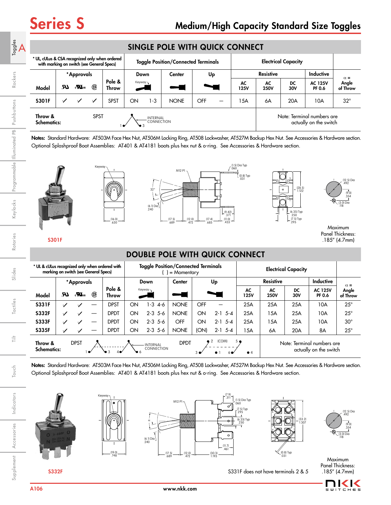| $\mathbf{A}$ |                                                                                              |     |                                  |              |                 |                                                                                                    | SINGLE POLE WITH QUICK CONNECT |                                            |            |                                                      |            |                            |           |                          |                   |  |
|--------------|----------------------------------------------------------------------------------------------|-----|----------------------------------|--------------|-----------------|----------------------------------------------------------------------------------------------------|--------------------------------|--------------------------------------------|------------|------------------------------------------------------|------------|----------------------------|-----------|--------------------------|-------------------|--|
|              | * UL, cULus & CSA recognized only when ordered<br>with marking on switch (see General Specs) |     |                                  |              |                 |                                                                                                    |                                | <b>Toggle Position/Connected Terminals</b> |            |                                                      |            | <b>Electrical Capacity</b> |           |                          |                   |  |
|              |                                                                                              |     | *Approvals                       |              |                 | Down                                                                                               |                                | <b>Center</b>                              | Up         |                                                      |            | <b>Resistive</b>           |           | Inductive                | $\alpha =$        |  |
| Rockers      | Model                                                                                        | LR. | $_{\rm c}$ $\mathbf{W}_{\rm us}$ | ⊕            | Pole &<br>Throw | Keyway<br>$\begin{array}{c} \begin{array}{c} \begin{array}{c} \end{array} \end{array} \end{array}$ |                                |                                            |            |                                                      | AC<br>125V | AC<br><b>250V</b>          | DC<br>30V | <b>AC 125V</b><br>PF 0.6 | Angle<br>of Throw |  |
|              | <b>S301F</b>                                                                                 |     |                                  | $\checkmark$ | <b>SPST</b>     | ON                                                                                                 | $1 - 3$                        | <b>NONE</b>                                | <b>OFF</b> |                                                      | <b>5A</b>  | 6A                         | 20A       | 10A                      | $32^{\circ}$      |  |
| Pushbuttons  | Throw &<br><b>Schematics:</b>                                                                |     |                                  | <b>SPST</b>  |                 |                                                                                                    | <b>INTERNAL</b><br>CONNECTION  |                                            |            | Note: Terminal numbers are<br>actually on the switch |            |                            |           |                          |                   |  |

Notes: Standard Hardware: AT503M Face Hex Nut, AT506M Locking Ring, AT508 Lockwasher, AT527M Backup Hex Nut. See Accessories & Hardware section. Optional Splashproof Boot Assemblies: AT401 & AT4181 boots plus hex nut & o-ring. See Accessories & Hardware section.



# DOUBLE POLE WITH QUICK CONNECT

| * UL & cULus recognized only when ordered with<br>marking on switch (see General Specs) |     |                                   |    |                 |    | <b>Toggle Position/Connected Terminals</b> | $=$ Momentary |                |             |                    |                  |           |                                                      |                   |
|-----------------------------------------------------------------------------------------|-----|-----------------------------------|----|-----------------|----|--------------------------------------------|---------------|----------------|-------------|--------------------|------------------|-----------|------------------------------------------------------|-------------------|
|                                                                                         |     | *Approvals                        |    |                 |    | Down                                       | Center        |                | Up          |                    | <b>Resistive</b> |           | <b>Inductive</b>                                     | $\alpha =$        |
| Model                                                                                   | UR. | $\epsilon$ <b>N</b> <sub>us</sub> | ®  | Pole &<br>Throw |    | Keyway                                     |               |                |             | AC<br>125V         | AC<br>250V       | DC<br>30V | <b>AC 125V</b><br><b>PF 0.6</b>                      | Angle<br>of Throw |
| <b>S331F</b>                                                                            | ✓   |                                   |    | <b>DPST</b>     | ON | $-34-6$                                    | <b>NONE</b>   | OFF            |             | 25A                | 25A              | 25A       | 10A                                                  | $25^{\circ}$      |
| <b>S332F</b>                                                                            | ✓   | $\checkmark$                      |    | <b>DPDT</b>     | ON | $2 - 3$ 5-6                                | <b>NONE</b>   | ON             | $2 - 1$ 5-4 | 25A                | 15A              | 25A       | 10A                                                  | $25^{\circ}$      |
| <b>S333F</b>                                                                            | ✓   |                                   | -- | <b>DPDT</b>     | ON | $2 - 3$ 5-6                                | <b>OFF</b>    | ON             | $2 - 1$ 5-4 | 25A                | 15A              | 25A       | 10A                                                  | $30^\circ$        |
| <b>S335F</b>                                                                            | ✓   |                                   |    | <b>DPDT</b>     | ON | $2 - 3$ 5-6                                | <b>NONE</b>   | (ON)           | $2 - 1$ 5-4 | 15A                | 6A               | 20A       | 8A                                                   | $25^{\circ}$      |
| Throw &<br><b>Schematics:</b>                                                           |     | <b>DPST</b>                       |    |                 | ₩б | <b>INTERNAL</b><br>CONNECTION              | <b>DPDT</b>   | 3 <sub>o</sub> | (COM)<br>2  | 5 ●<br>$\bullet$ 4 |                  |           | Note: Terminal numbers are<br>actually on the switch |                   |

Notes: Standard Hardware: AT503M Face Hex Nut, AT506M Locking Ring, AT508 Lockwasher, AT527M Backup Hex Nut. See Accessories & Hardware section. Optional Splashproof Boot Assemblies: AT401 & AT4181 boots plus hex nut & o-ring. See Accessories & Hardware section.





(19.0) .748





 (9.0) .354 (12.5) Dia .492 (3.0) Dia .118

Maximum Panel Thickness: .185" (4.7mm)

S332F S331F does not have terminals 2 & 5



Indicators

Indicators

Accessories

Rotaries

Slides

Tactiles

Ë

Touch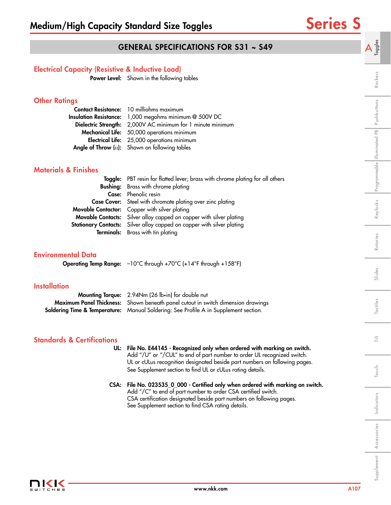A  $\frac{3}{5}$ 

Rockers

Keylocks Programmable Illuminated PB Pushbuttons

# GENERAL SPECIFICATIONS FOR S31 ~ S49

## Electrical Capacity (Resistive & Inductive Load)

Power Level: Shown in the following tables

## **Other Ratings**

| Contact Resistance: 10 milliohms maximum                      |
|---------------------------------------------------------------|
| Insulation Resistance: 1,000 megohms minimum @ 500V DC        |
| Dielectric Strength: 2,000V AC minimum for 1 minute minimum   |
| Mechanical Life: 50,000 operations minimum                    |
| Electrical Life: 25,000 operations minimum                    |
| <b>Angle of Throw</b> ( $\alpha$ ): Shown on following tables |

### Materials & Finishes

| Toggle: PBT resin for flatted lever; brass with chrome plating for all others |
|-------------------------------------------------------------------------------|
| <b>Bushing:</b> Brass with chrome plating                                     |
| <b>Case:</b> Phenolic resin                                                   |
| <b>Case Cover:</b> Steel with chromate plating over zinc plating              |
| Movable Contactor: Copper with silver plating                                 |
| <b>Movable Contacts:</b> Silver alloy capped on copper with silver plating    |
| <b>Stationary Contacts:</b> Silver alloy capped on copper with silver plating |
| <b>Terminals:</b> Brass with tin plating                                      |

### Environmental Data

Operating Temp Range: –10°C through +70°C (+14°F through +158°F)

## **Installation**

| <b>Mounting Torque:</b> 2.94Nm (26 lb•in) for double nut                                        |
|-------------------------------------------------------------------------------------------------|
| <b>Maximum Panel Thickness:</b> Shown beneath panel cutout in switch dimension drawings         |
| <b>Soldering Time &amp; Temperature:</b> Manual Soldering: See Profile A in Supplement section. |

## Standards & Certifications

| UL: File No. E44145 - Recognized only when ordered with marking on switch. |
|----------------------------------------------------------------------------|
| Add "/U" or "/CUL" to end of part number to order UL recognized switch.    |
| UL or cULus recognition designated beside part numbers on following pages. |
| See Supplement section to find UL or cULus rating details.                 |
|                                                                            |

### CSA: File No. 023535\_0\_000 - Certified only when ordered with marking on switch. Add "/C" to end of part number to order CSA certified switch. CSA certification designated beside part numbers on following pages. See Supplement section to find CSA rating details.



Indicators

Indicators

Touch Tilt

Touch

言

Supplement Accessories | Indicators | Touch | Tactiles | Slides | Rotaries | Keylocks |Programmable || Illuminated PB | Pushbuttons

Tactiles

Slides

Rotaries

Accessories

Supplement Accessories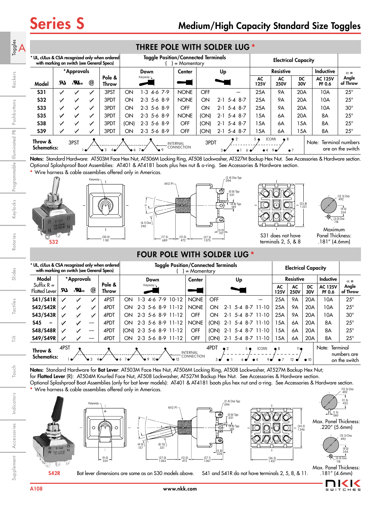| $A_{\text{ge-}1}^{\text{le-}1}$ | with marking on switch (see General Specs) |                                   |   | * UL, cULus & CSA recognized only when ordered |      | <b>Toggle Position/Connected Terminals</b> | $=$ Momentary                 |            |                          |                            |                                     | <b>Electrical Capacity</b> |                                                |                   |
|---------------------------------|--------------------------------------------|-----------------------------------|---|------------------------------------------------|------|--------------------------------------------|-------------------------------|------------|--------------------------|----------------------------|-------------------------------------|----------------------------|------------------------------------------------|-------------------|
|                                 |                                            | *Approvals                        |   |                                                |      | Down                                       | Center                        |            | Up                       |                            | <b>Resistive</b>                    |                            | <b>Inductive</b>                               | $\alpha =$        |
| Model                           | UR.                                        | $\epsilon$ <b>N</b> <sub>us</sub> | ⊕ | Pole &<br>Throw                                |      | Keyway-                                    |                               |            |                          | AC<br>125V                 | AC<br><b>250V</b>                   | DC<br>30V                  | <b>AC 125V</b><br>PF 0.6                       | Angle<br>of Throw |
| <b>S31</b>                      | ✓                                          |                                   |   | 3PST                                           | ON   | $-3$ 4-6 7-9                               | <b>NONE</b>                   | <b>OFF</b> |                          | 25A                        | <b>9A</b>                           | 20A                        | 10A                                            | $25^{\circ}$      |
| <b>S32</b>                      | ✓                                          | ✓                                 | ✓ | 3PDT                                           | ON   | $2-3$ 5-6 8-9                              | <b>NONE</b>                   | ON         | $2-1$ 5-4 8-7            | 25A                        | <b>9A</b>                           | 20A                        | 10A                                            | $25^{\circ}$      |
| <b>S33</b>                      | $\checkmark$                               | ✓                                 | ✓ | 3PDT                                           | ON   | $2-3$ 5-6 8-9                              | OFF                           | ON         | $2-1$ 5-4 8-7            | 25A                        | <b>9A</b>                           | 20A                        | 10A                                            | $30^\circ$        |
| <b>S35</b>                      | $\checkmark$                               | ✓                                 | ✓ | 3PDT                                           | ON   | $2-3$ 5-6 8-9                              | <b>NONE</b>                   | (ON)       | 5-4 8-7<br>$2 - 1$       | 15A                        | 6A                                  | 20A                        | 8A                                             | $25^{\circ}$      |
| <b>S38</b>                      | ✓                                          | ✓                                 | ✓ | 3PDT                                           | (ON) | $2-3$ 5-6 8-9                              | OFF                           | (ON)       | $2 - 1$<br>5-4 8-7       | 15A                        | 6A                                  | 15A                        | 8A                                             | $25^{\circ}$      |
| <b>S39</b>                      | ✓                                          | ✓                                 |   | 3PDT                                           | ON   | $2-3$ 5-6 8-9                              | <b>OFF</b>                    | (ON)       | $5 - 4$ 8 - 7<br>$2 - 1$ | 15A                        | 6A                                  | 15A                        | 8A                                             | $25^{\circ}$      |
| Throw &<br><b>Schematics:</b>   |                                            | 3PST                              |   | ७ ३<br>4 <sub>°</sub>                          | ՝∂∙  |                                            | <b>INTERNAL</b><br>CONNECTION | 3PDT       | م 3                      | $5^{\circ}$<br>$\bullet$ 4 | (COM)<br>$\bullet$ 8<br>$\bullet$ 7 |                            | Terminal numbers<br>Note:<br>are on the switch |                   |

Notes: Standard Hardware: AT503M Face Hex Nut, AT506M Locking Ring, AT508 Lockwasher, AT527M Backup Hex Nut. See Accessories & Hardware section. Optional Splashproof Boot Assemblies: AT401 & AT4181 boots plus hex nut & o-ring. See Accessories & Hardware section.

**\*** Wire harness & cable assemblies offered only in Americas.





Keyway





S31 does not have terminals 2, 5, & 8



(12.5) Dia .492

Panel Thickness: .181" (4.6mm)

# FOUR POLE WITH SOLDER LUG **\***

|                                        | * UL, cULus & CSA recognized only when ordered<br>with marking on switch (see General Specs) |                  |                          |                 |      | <b>Toggle Position/Connected Terminals</b><br>$=$ Momentary |                   |                   |                                      |                        |             |         |                |                       |            | <b>Electrical Capacity</b> |              |                          |                                          |
|----------------------------------------|----------------------------------------------------------------------------------------------|------------------|--------------------------|-----------------|------|-------------------------------------------------------------|-------------------|-------------------|--------------------------------------|------------------------|-------------|---------|----------------|-----------------------|------------|----------------------------|--------------|--------------------------|------------------------------------------|
| Model                                  |                                                                                              | * Approvals      |                          |                 |      |                                                             | Down              |                   | Center                               |                        |             | Up      |                |                       |            | <b>Resistive</b>           |              | Inductive                | $\alpha =$                               |
| Suffix $R =$<br><b>Flatted Lever</b>   | И.                                                                                           | $\boldsymbol{u}$ | (SP)                     | Pole &<br>Throw |      |                                                             | Keyway¬           |                   |                                      |                        |             |         |                |                       | AC<br>125V | AC<br><b>250V</b>          | DC<br>30V    | <b>AC 125V</b><br>PF 0.6 | Angle<br>of Throw                        |
| \$41/\$41R                             | ✓                                                                                            |                  | $\checkmark$             | 4PST            | ON   | -3                                                          | $7-9$<br>4-6      | $10-12$           | <b>NONE</b>                          | OFF                    |             |         |                |                       | 25A        | <b>9A</b>                  | 20A          | 10A                      | $25^{\circ}$                             |
| \$42/\$42R                             |                                                                                              | ✓                | $\checkmark$             | 4PDT            | ON   |                                                             | 2-3 5-6 8-9 11-12 |                   | <b>NONE</b>                          | ON                     | $2 - 1$     |         |                | $5 - 4$ 8 - 7 11 - 10 | 25A        | 9A                         | 20A          | 10A                      | $25^{\circ}$                             |
| \$43/\$43R                             | ✓                                                                                            | $\checkmark$     | ✓                        | 4PDT            | ON   |                                                             | 2-3 5-6 8-9 11-12 |                   | OFF                                  | ON                     | 2-1         | 5-4     |                | 8-7 11-10             | 25A        | 9A                         | 20A          | 10A                      | $30^{\circ}$                             |
| <b>S45</b><br>$\overline{\phantom{0}}$ | $\checkmark$                                                                                 | $\checkmark$     |                          | 4PDT            | ON   |                                                             | 2-3 5-6 8-9 11-12 |                   | <b>NONE</b>                          | (ON)                   | $2 - 1$     |         |                | 5-4 8-7 11-10         | 15A        | 6A                         | 20A          | 8A                       | $25^{\circ}$                             |
| \$48/\$48R                             |                                                                                              |                  | $\overline{\phantom{m}}$ | 4PDT            | (ON) |                                                             | 2-3 5-6 8-9 11-12 |                   | OFF                                  | (ON)                   | $2 - 1$     | $5 - 4$ |                | $8 - 7$ 11 $-10$      | 15A        | 6A                         | 20A          | 8A                       | $25^{\circ}$                             |
| \$49/\$49R                             |                                                                                              |                  | --                       | 4PDT            | ON   |                                                             |                   | 2-3 5-6 8-9 11-12 | OFF                                  | (ON)                   |             |         |                | 2-1 5-4 8-7 11-10     | 15A        | 6A                         | 20A          | 8A                       | $25^{\circ}$                             |
| Throw &<br><b>Schematics:</b>          | 4PST                                                                                         |                  | ७ 3                      |                 |      | ∖∍ा                                                         | $10\bullet$       |                   | <b>INTERNAL</b><br><b>CONNECTION</b> | 4PDT<br>3 <sub>0</sub> | $\bullet$ 2 |         | 5 <sub>•</sub> | (COM)<br>90           | • 8        | $11 \bullet$               | $\bullet$ 10 | Note:                    | Terminal<br>numbers are<br>on the switch |

(12.5) Dia Notes: Standard Hardware for Bat Lever: AT503M Face Hex Nut, AT506M Locking Ring, AT508 Lockwasher, AT527M Backup Hex Nut; for Flatted Lever (R): AT504M Knurled Face Nut, AT508 Lockwasher, AT527M Backup Hex Nut. See Accessories & Hardware section. Optional Splashproof Boot Assemblies (only for bat lever models): AT401 & AT4181 boots plus hex nut and o-ring. See Accessories & Hardware section. **\*** Wire harness & cable assemblies offered only in Americas.

**M12 F** 

(5.8) .228

ම

 $\bullet$ 



Indicators

Indicators

Supplement Accessories Indicators I Touch Ill Tilt Illes I Slides Rotaries I Keylocks Programmable Illuminated Pushbuttons I Rockers

Slides

Tactiles

ŧ

Touch

Rotaries

Rockers

Keylocks Programmable Illuminated PB Pushbuttons

Accessories

Supplement Accessories





 (2.4) Dia Typ .094 (0.8) Typ .031 Typ  $\alpha$  (34.2)  $\alpha$  (38.2)  $\alpha$  (4.8)  $\gamma$  (4.8)  $\gamma$  (3.2)  $\alpha$  (3.4)  $\alpha$  (3.4)  $\alpha$  (3.4)  $\alpha$ 1.346  $\cup\hspace{-.05in}$   $\cup$   $\vee$  $10$  10 10 10 10 1 1 di C 4 6 8 7 12 (36.5) 1.437



 $(9.0)$  $^{354}$ (12.5) Dia .492 (3.0) Dia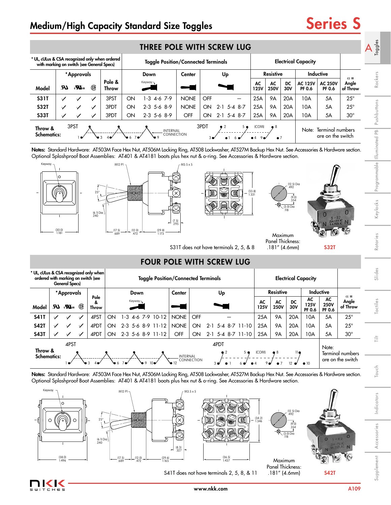# Medium/High Capacity Standard Size Toggles Series S

| * UL, cULus & CSA recognized only when ordered<br>with marking on switch (see General Specs) |              |                                   |              |                 |    | <b>Toggle Position/Connected Terminals</b>  |             |                        |                               |              |     |                    |                            |           | <b>Electrical Capacity</b>      |                                       |                                 |                                 |
|----------------------------------------------------------------------------------------------|--------------|-----------------------------------|--------------|-----------------|----|---------------------------------------------|-------------|------------------------|-------------------------------|--------------|-----|--------------------|----------------------------|-----------|---------------------------------|---------------------------------------|---------------------------------|---------------------------------|
|                                                                                              |              | *Approvals                        |              |                 |    | Down                                        | Center      |                        | Up                            |              |     |                    | <b>Resistive</b>           |           |                                 | <b>Inductive</b>                      |                                 |                                 |
| Model                                                                                        | UR.          | $\epsilon$ <b>N</b> <sub>us</sub> | ®            | Pole &<br>Throw |    | Keyway¬                                     |             |                        |                               |              |     | AC<br>125V         | AC<br><b>250V</b>          | DC<br>30V | <b>AC 125V</b><br><b>PF 0.6</b> | <b>AC 250V</b><br>PF 0.6              | $\alpha =$<br>Angle<br>of Throw | Rockers                         |
| <b>S31T</b>                                                                                  | $\checkmark$ | $\checkmark$                      | ✓            | 3PST            | ON | $-3$ 4-6 7-9                                | <b>NONE</b> | OFF                    |                               |              |     | 25A                | <b>9A</b>                  | 20A       | 10A                             | 5A                                    | $25^{\circ}$                    |                                 |
| <b>S32T</b>                                                                                  | ✓            | $\checkmark$                      | $\checkmark$ | 3PDT            | ON | $2-3$ 5-6 8-9                               | <b>NONE</b> | ON                     | $2 - 1$                       | $5 - 48 - 7$ |     | 25A                | <b>9A</b>                  | 20A       | 10A                             | 5A                                    | $25^{\circ}$                    | ittons                          |
| <b>S33T</b>                                                                                  |              |                                   |              | 3PDT            | ON | $2-3$ 5-6 8-9                               | OFF         | ON                     | $2 - 1$                       | 5-4 8-7      |     | 25A                | <b>9A</b>                  | 20A       | 10A                             | 5A                                    | $30^\circ$                      | $\frac{1}{5}$                   |
| Throw &<br><b>Schematics:</b>                                                                |              | 3PST                              |              |                 |    | <b>INTERNAL</b><br>CONNECTION<br>$^{\circ}$ |             | 3PDT<br>3 <sup>o</sup> | $\overline{2}$<br>$\bullet$ 1 |              | 5 ● | (COM)<br>$\bullet$ | $\bullet$ 8<br>$\bullet$ 7 |           | Note:                           | Terminal numbers<br>are on the switch |                                 | $\Omega$<br>$\mathbb{E}$<br>ted |

Notes: Standard Hardware: AT503M Face Hex Nut, AT506M Locking Ring, AT508 Lockwasher, AT527M Backup Hex Nut. See Accessories & Hardware section. Optional Splashproof Boot Assemblies: AT401 & AT4181 boots plus hex nut & o-ring. See Accessories & Hardware section.



S31T does not have terminals  $2, 5, 8, 8$   $.181$ " (4.6mm)  $.532T$ 

Panel Thickness: .181" (4.6mm)

Slides

Rotaries

Keylocks Programmable Illuminated PB Pushbuttons

言 Touch Tilt



| U.<br>J<br>¢,<br>Œ<br>d |
|-------------------------|
|                         |

Accessories

S41T does not have terminals 2, 5, 8, & 11



(38.0) 1.496 (17.5)

25°

M12 F

(6.1) Dia .240

 $\frac{(12.0)}{472}$ 

.472 (29.6) 1.165

(8.3) .327

Key

 $\Omega$ 

S42T

 (9.0) .354

(3.0) Dia .118

Maximum Panel Thickness: .181" (4.6mm)

(34.2) 1.346

2

9 S & V

6

4

10 A 6A 6A 6A 1 ئے لاچکا رہے <del>ا</del>

(36.5) 1.437

8

12

7

(12.5) Dia .492

# FOUR POLE WITH SCREW LUG

| * UL, cULus & CSA recognized only when<br>ordered with marking on switch (see |  | <b>General Specs)</b>                                |      |                    |           |                     | <b>Toggle Position/Connected Terminals</b> |                                 |            |         |                                       |                   |                   |                   |           | <b>Electrical Capacity</b> |                                    |                                       |
|-------------------------------------------------------------------------------|--|------------------------------------------------------|------|--------------------|-----------|---------------------|--------------------------------------------|---------------------------------|------------|---------|---------------------------------------|-------------------|-------------------|-------------------|-----------|----------------------------|------------------------------------|---------------------------------------|
|                                                                               |  | *Approvals                                           |      |                    |           | Down                |                                            | Center                          |            |         | Up                                    |                   |                   | <b>Resistive</b>  |           |                            | Inductive                          |                                       |
| Model                                                                         |  | $\boldsymbol{w}$ $\boldsymbol{R}$ , $\boldsymbol{R}$ | (SP) | Pole<br>&<br>Throw |           | Keyway-             |                                            |                                 |            |         |                                       |                   | AC<br><b>125V</b> | AC<br><b>250V</b> | DC<br>30V | AC<br>125V<br>PF 0.6       | AC<br><b>250V</b><br><b>PF 0.6</b> | $\alpha =$<br>Angle<br>of Throw       |
| <b>S41T</b>                                                                   |  |                                                      |      | 4PST               | ON        | 1-3<br>7-9<br>4-6   | 10-12                                      | <b>NONE</b>                     | <b>OFF</b> |         |                                       |                   | 25A               | <b>9A</b>         | 20A       | 10A                        | 5A                                 | $25^\circ$                            |
| <b>S42T</b>                                                                   |  | $\checkmark$                                         | ✓    | 4PDT               | ON        | $2 - 3$             | 5-6 8-9 11-12                              | <b>NONE</b>                     | ON         | $2 - 1$ |                                       | 5-4 8-7 11-10     | 25A               | 9Α                | 20A       | 10A                        | 5A                                 | $25^{\circ}$                          |
| <b>S43T</b>                                                                   |  | $\checkmark$                                         |      | 4PDT               | <b>ON</b> | $2-3$ 5-6 8-9 11-12 |                                            | OFF                             | ON         |         |                                       | 2-1 5-4 8-7 11-10 | 25A               | <b>9A</b>         | 20A       | 10A                        | 5A                                 | $30^\circ$                            |
| 4PST<br>Throw &<br><b>Schematics:</b><br>$10\bullet$<br>∾∾<br>٠               |  |                                                      |      |                    |           |                     |                                            | <b>INTERNAL</b><br>$\bullet$ 12 | CONNECTION |         | 4PDT<br>$\bullet$ 2<br>3 <sub>0</sub> | 5●                | (COM)             | $\bullet$ 8       | 11 e      | $\bullet$ 10               | Note:                              | Terminal numbers<br>are on the switch |

Notes: Standard Hardware: AT503M Face Hex Nut, AT506M Locking Ring, AT508 Lockwasher, AT527M Backup Hex Nut. See Accessories & Hardware section. Optional Splashproof Boot Assemblies: AT401 & AT4181 boots plus hex nut & o-ring. See Accessories & Hardware section.

M3.5 x 5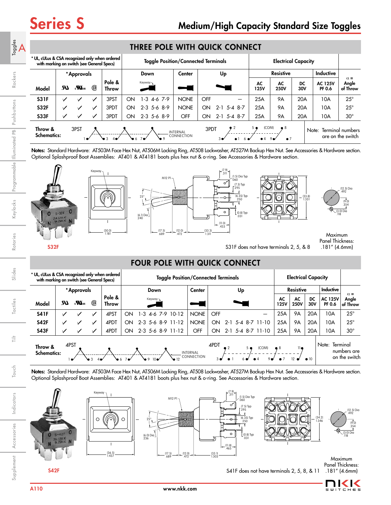|                                                                                              |                            |                         |              |                               |    | THREE POLE WITH QUICK CONNECT              |             |     |         |                                        |                               |                            |           |                                       |                                 |
|----------------------------------------------------------------------------------------------|----------------------------|-------------------------|--------------|-------------------------------|----|--------------------------------------------|-------------|-----|---------|----------------------------------------|-------------------------------|----------------------------|-----------|---------------------------------------|---------------------------------|
| * UL, cULus & CSA recognized only when ordered<br>with marking on switch (see General Specs) |                            |                         |              |                               |    | <b>Toggle Position/Connected Terminals</b> |             |     |         |                                        |                               | <b>Electrical Capacity</b> |           |                                       |                                 |
|                                                                                              |                            | *Approvals              |              |                               |    | Down                                       | Center      |     | Up      |                                        |                               | <b>Resistive</b>           |           | <b>Inductive</b>                      |                                 |
| Model                                                                                        | LR.                        | $\mathbf{a}^{\text{u}}$ | ⊕            | Pole &<br>Throw               |    | Keyway-                                    |             |     |         |                                        | AC<br><b>125V</b>             | AC<br><b>250V</b>          | DC<br>30V | <b>AC 125V</b><br>PF 0.6              | $\alpha =$<br>Angle<br>of Throw |
| <b>S31F</b>                                                                                  | ✓                          | ✓                       |              | 3PST                          | ON | 1-3<br>4-67--9                             | <b>NONE</b> | OFF |         |                                        | 25A                           | <b>9A</b>                  | 20A       | 10A                                   | $25^{\circ}$                    |
| <b>S32F</b>                                                                                  | ✓                          | $\checkmark$            | $\checkmark$ | 3PDT                          | ON | $2-3$ 5-6 8-9                              | <b>NONE</b> | ON  | $2 - 1$ | 5-4 8-7                                | 25A                           | <b>9A</b>                  | 20A       | 10A                                   | $25^{\circ}$                    |
| <b>S33F</b>                                                                                  | ✓                          |                         | $\checkmark$ | 3PDT                          | ON | $2-3$ 5-6 8-9                              | <b>OFF</b>  | ON  |         | $2-1$ 5-4 8-7                          | 25A                           | <b>9A</b>                  | 20A       | 10A                                   | $30^\circ$                      |
| Throw &                                                                                      | 3PST<br><b>Schematics:</b> |                         |              | <b>INTERNAL</b><br>CONNECTION |    |                                            | 3PDT        |     |         | (COM)<br>5 <sub>•</sub><br>$\bullet$ 4 | $^{\bullet}$ 8<br>$\bullet$ 7 |                            | Note:     | Terminal numbers<br>are on the switch |                                 |

Notes: Standard Hardware: AT503M Face Hex Nut, AT506M Locking Ring, AT508 Lockwasher, AT527M Backup Hex Nut. See Accessories & Hardware section. Optional Splashproof Boot Assemblies: AT401 & AT4181 boots plus hex nut & o-ring. See Accessories & Hardware section.



# FOUR POLE WITH QUICK CONNECT

| * UL, cULus & CSA recognized only when ordered<br>with marking on switch (see General Specs) |      |                         |                               |                 | <b>Electrical Capacity</b><br><b>Toggle Position/Connected Terminals</b> |                          |              |                               |                        |             |                   |       |                   |                   |              |                          |                                          |
|----------------------------------------------------------------------------------------------|------|-------------------------|-------------------------------|-----------------|--------------------------------------------------------------------------|--------------------------|--------------|-------------------------------|------------------------|-------------|-------------------|-------|-------------------|-------------------|--------------|--------------------------|------------------------------------------|
|                                                                                              |      | *Approvals              |                               |                 |                                                                          | Down                     |              | Center                        |                        |             | Up                |       |                   | <b>Resistive</b>  |              | <b>Inductive</b>         | $\alpha =$                               |
| Model                                                                                        | LR.  | $\mathbf{u}^{\text{u}}$ | G)                            | Pole &<br>Throw |                                                                          | Keyway-                  |              |                               |                        |             |                   |       | AC<br><b>125V</b> | AC<br><b>250V</b> | DC<br>30V    | <b>AC 125V</b><br>PF 0.6 | Angle<br>of Throw                        |
| <b>S41F</b>                                                                                  | ✓    | ✓                       | ✓                             | 4PST            | ON                                                                       | l -3<br>4-6 7-9 10-12    |              | <b>NONE</b>                   | OFF                    |             |                   |       | 25A               | <b>9A</b>         | 20A          | 10A                      | $25^{\circ}$                             |
| <b>S42F</b>                                                                                  | ✓    | ✓                       | ✓                             | 4PDT            | ON                                                                       | $2 - 3$<br>5-6 8-9 11-12 |              | <b>NONE</b>                   | ON                     | $2 - 1$     | $5-4$ 8-7 11-10   |       | 25A               | <b>9A</b>         | 20A          | 10A                      | $25^{\circ}$                             |
| <b>S43F</b>                                                                                  | ✓    | ✓                       | $\checkmark$                  | 4PDT            | ON                                                                       | 2-3 5-6 8-9 11-12        |              | OFF                           | ON                     |             | 2-1 5-4 8-7 11-10 |       | 25A               | <b>9A</b>         | 20A          | 10A                      | $30^\circ$                               |
| Throw &<br><b>Schematics:</b>                                                                | 4PST | $\bullet$               | $\bullet$ 3<br>4 <sub>°</sub> |                 | 6.7 <sup>o</sup>                                                         | 9.10                     | $\bullet$ 12 | <b>INTERNAL</b><br>CONNECTION | 4PDT<br>3 <sub>o</sub> | $\bullet$ 2 | 5 <sub>o</sub>    | (COM) | $\bullet$ 8       | 110               | $\bullet$ 10 | Note:                    | Terminal<br>numbers are<br>on the switch |

Notes: Standard Hardware: AT503M Face Hex Nut, AT506M Locking Ring, AT508 Lockwasher, AT527M Backup Hex Nut. See Accessories & Hardware section. Optional Splashproof Boot Assemblies: AT401 & AT4181 boots plus hex nut & o-ring. See Accessories & Hardware section.





 $\mathsf{A}^{\mathsf{e}_\mathsf{sgd}}_\mathsf{d}$ 

Indicators

Indicators

Accessories

Supplement Accessories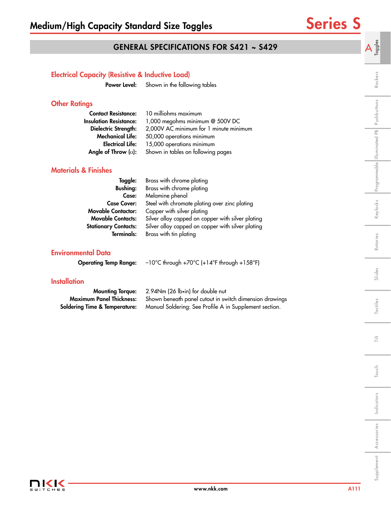A  $\frac{3}{5}$ 

# GENERAL SPECIFICATIONS FOR S421 ~ S429

| <b>Electrical Capacity (Resistive &amp; Inductive Load)</b> |                                                                                       |                             |
|-------------------------------------------------------------|---------------------------------------------------------------------------------------|-----------------------------|
| Power Level:                                                | Shown in the following tables                                                         | Rockers                     |
| <b>Other Ratings</b>                                        |                                                                                       | Pushbuttons                 |
| <b>Contact Resistance:</b>                                  | 10 milliohms maximum                                                                  |                             |
| <b>Insulation Resistance:</b>                               | 1,000 megohms minimum @ 500V DC                                                       |                             |
| Dielectric Strength:                                        | 2,000V AC minimum for 1 minute minimum                                                |                             |
| <b>Mechanical Life:</b>                                     | 50,000 operations minimum                                                             |                             |
| <b>Electrical Life:</b>                                     | 15,000 operations minimum                                                             |                             |
| Angle of Throw $(\alpha)$ :                                 | Shown in tables on following pages                                                    |                             |
| <b>Materials &amp; Finishes</b>                             |                                                                                       | Programmable Illuminated PB |
| Toggle:                                                     | Brass with chrome plating                                                             |                             |
| <b>Bushing:</b>                                             | Brass with chrome plating                                                             |                             |
| Case:                                                       | Melamine phenol                                                                       |                             |
| <b>Case Cover:</b>                                          | Steel with chromate plating over zinc plating                                         |                             |
| <b>Movable Contactor:</b>                                   | Copper with silver plating                                                            | Keylocks                    |
| <b>Movable Contacts:</b>                                    | Silver alloy capped on copper with silver plating                                     |                             |
| <b>Stationary Contacts:</b>                                 | Silver alloy capped on copper with silver plating                                     |                             |
| <b>Terminals:</b>                                           | Brass with tin plating                                                                |                             |
|                                                             |                                                                                       | Rotaries                    |
| <b>Environmental Data</b>                                   |                                                                                       |                             |
| <b>Operating Temp Range:</b>                                | $-10^{\circ}$ C through +70 $^{\circ}$ C (+14 $^{\circ}$ F through +158 $^{\circ}$ F) |                             |
| <b>Installation</b>                                         |                                                                                       | Slides                      |
| <b>Mounting Torque:</b>                                     | 2.94Nm (26 lb•in) for double nut                                                      |                             |
| <b>Maximum Panel Thickness:</b>                             | Shown beneath panel cutout in switch dimension drawings                               |                             |
| <b>Soldering Time &amp; Temperature:</b>                    | Manual Soldering: See Profile A in Supplement section.                                | Tactiles                    |
|                                                             |                                                                                       |                             |
|                                                             |                                                                                       |                             |
|                                                             |                                                                                       | 言                           |
|                                                             |                                                                                       |                             |
|                                                             |                                                                                       | Touch                       |
|                                                             |                                                                                       |                             |
|                                                             |                                                                                       |                             |
|                                                             |                                                                                       | Indicators                  |
|                                                             |                                                                                       |                             |
|                                                             |                                                                                       |                             |
|                                                             |                                                                                       |                             |
|                                                             |                                                                                       | Accessories                 |
|                                                             |                                                                                       |                             |
|                                                             |                                                                                       | Supplement                  |
|                                                             |                                                                                       |                             |
|                                                             |                                                                                       |                             |